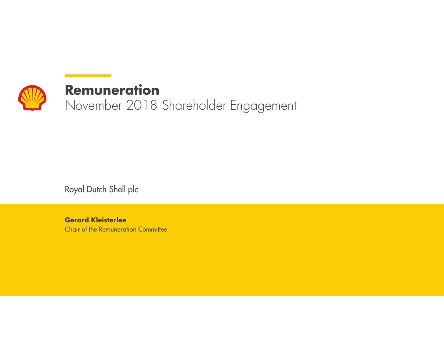

## **Remuneration**

November 2018 Shareholder Engagement

Royal Dutch Shell plc

**Gerard Kleisterlee**Chair of the Remuneration Committee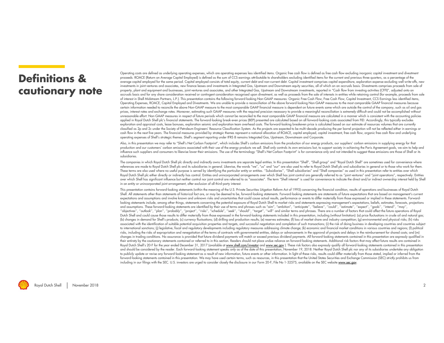## **Definitions & cautionary note**

Operating costs are defined as underlying operating expenses, which are operating expenses less identified items. Organic free cash flow is defined as free cash flow excluding inorganic capital investment and divestment proceeds. ROACE (Return on Average Capital Employed) is defined as the sum of CCS earnings attributable to shareholders excluding identified items for the current and previous three quarters, as a percentage of the average capital employed for the same period. Capital employed consists of total equity, current debt and non-current debt. Capital investment comprises capital expenditure, exploration expense excluding well write-offs, new investments in joint ventures and associates, new finance leases and investments in Integrated Gas, Upstream and Downstream equity securities, all of which on an accruals basis. Divestments comprises proceeds from sale of property, plant and equipment and businesses, joint ventures and associates, and other Integrated Gas, Upstream and Downstream investments, reported in "Cash flow from investing activities (CFFI)", adjusted onto an accruals basis and for any share consideration received or contingent consideration recognised upon divestment, as well as proceeds from the sale of interests in entities while retaining control (for example, proceeds from of interest in Shell Midstream Partners, L.P.). This presentation contains the following forward-looking Non-GAAP measures: Organic Free Cash Flow, Free Cash Flow, Capital Investment, CCS Earnings less identified items, Operating Expenses, ROACE, Capital Employed and Divestments. We are unable to provide a reconciliation of the above forward-looking Non-GAAP measures to the most comparable GAAP financial measures because certain information needed to reconcile the above Non-GAAP measure to the most comparable GAAP financial measure is dependent on future events some which are outside the control of the company, such as oil and gas prices, interest rates and exchange rates. Moreover, estimating such GAAP measures with the required precision necessary to provide a meaningful reconciliation is extremely difficult and could not be accomplished without unreasonable effort. Non-GAAP measures in respect of future periods which cannot be reconciled to the most comparable GAAP financial measure are calculated in a manner which is consistent with the accounting policies applied in Royal Dutch Shell plc's financial statements. The forward-looking break-even prices (BEP) presented are calculated based on all forward-looking costs associated from FID. Accordingly, this typically excludes exploration and appraisal costs, lease bonuses, exploration seismic and exploration team overhead costs. The forward-looking breakeven price is calculated based on our estimate of resources volumes that are currently classified as 2p and 2c under the Society of Petroleum Engineers' Resource Classification System. As the projects are expected to be multi-decade producing the per barrel projection will not be reflected either in earnings cash flow in the next five years. The financial measures provided by strategic themes represent a notional allocation of ROACE, capital employed, capital investment, free cash flow, organic free cash flow and underlying operating expenses of Shell's strategic themes. Shell's segment reporting under IFRS 8 remains Integrated Gas, Upstream, Downstream and Corporate.

Also, in this presentation we may refer to "Shell's Net Carbon Footprint", which includes Shell's carbon emissions from the production of our energy products, our suppliers' carbon emissions in supplying energy for that production and our customers' carbon emissions associated with their use of the energy products we sell. Shell only controls its own emissions but, to support society in achieving the Paris Agreement goals, we gim to help influence such suppliers and consumers to likewise lower their emissions. The use of the terminology "Shell's Net Carbon Footprint" is for convenience only and not intended to suggest these emissions are those of Shell or subsidiaries.

The companies in which Royal Dutch Shell plc directly and indirectly owns investments are separate legal entities. In this presentation "Shell", "Shell group" and "Royal Dutch Shell" are sometimes used for convenience wher references are made to Royal Dutch Shell plc and its subsidiaries in aeneral. Likewise, the words "we", "us" and "our" are also used to refer to Royal Dutch Shell plc and subsidiaries in aeneral or to those who work for th These terms are also used where no useful purpose is served by identifying the particular entity or entities. "Subsidiaries", "Shell subsidiaries" and "Shell companies" as used in this presentation refer to entities over w Royal Dutch Shell plc either directly or indirectly has control. Entities and unincorporated arrangements over which Shell has joint control are generally referred to as "joint ventures" and "joint operations", respectivel over which Shell has significant influence but neither control nor joint control are referred to as "associates". The term "Shell interest" is used for convenience to indicate the direct and/or indirect ownership interest in an entity or unincorporated joint arrangement, after exclusion of all third-party interest.

This presentation contains forward-looking statements (within the meaning of the U.S. Private Securities Litigation Reform Act of 1995) concerning the financial condition, results of operations and businesses of Royal Dutc Shell. All statements other than statements of historical fact are, or may be deemed to be, forward-looking statements. Forward-looking statements are statements of future expectations that are based on management's curren expectations and assumptions and involve known and unknown risks and uncertainties that could cause actual results, performance or events to differ materially from those expressed or implied in these statements. Forwardlooking statements include, among other things, statements concerning the potential exposure of Royal Dutch Shell to market risks and statements expressing management's expectations, beliefs, estimates, forecasts, projecti and assumptions. These forward-looking statements are identified by their use of terms and phrases such as "aim", "ambition", ''anticipate'', ''believe'', ''could'', ''estimate'', ''expect'', ''goals'', ''intend'', ''may'', "objectives", "outlook", "plan", "probably", "project", "risks", "schedule", "seek", "should", "target", "will" and similar terms and phrases. There are a number of factors that could affect the future operations of Royal Dutch Shell and could cause those results to differ materially from those expressed in the forward-looking statements included in this presentation, including (without limitation): (a) price fluctuations in crude oil and n (b) changes in demand for Shell's products; (c) currency fluctuations; (d) drilling and production results; (e) reserves estimates; (f) loss of market share and industry competition; (g) environmental and physical risks; ( associated with the identification of suitable potential acquisition properties and targets, and successful negotiation and completion of such transactions; (i) the risk of doing business in developing countries and countr to international sanctions; (i) legislative, fiscal and regulatory developments including regulatory measures addressing climate change; (k) economic and financial market conditions in various countries and regions; (I) po risks, including the risks of expropriation and renegotiation of the terms of contracts with governmental entities, delays or advancements in the approval of projects and delays in the reimbursement for shared costs; and (m) changes in trading conditions. No assurance is provided that future dividend payments will match or exceed previous dividend payments. All forward-looking statements contained in this presentation are expressly qualified in their entirety by the cautionary statements contained or referred to in this section. Readers should not place undue reliance on forward-looking statements. Additional risk factors that may affect future results are contai Royal Dutch Shell's 20-F for the year ended December 31, 2017 (available at www.shell.com/investor and www.sec.gov ). These risk factors also expressly qualify all forward-looking statements contained in this presentation and should be considered by the reader. Each forward-looking statement speaks only as of the date of this presentation, November 19, 2018. Neither Royal Dutch Shell plc nor any of its subsidiaries undertake any obligation to publicly update or revise any forward-looking statement as a result of new information, future events or other information. In light of these risks, results could differ materially from those stated, implied or inferred forward-looking statements contained in this presentation. We may have used certain terms, such as resources, in this presentation that the United States Securities and Exchange Commission (SEC) strictly prohibits us from including in our filings with the SEC. U.S. investors are urged to consider closely the disclosure in our Form 20-F, File No 1-32575, available on the SEC website www.sec.gov.

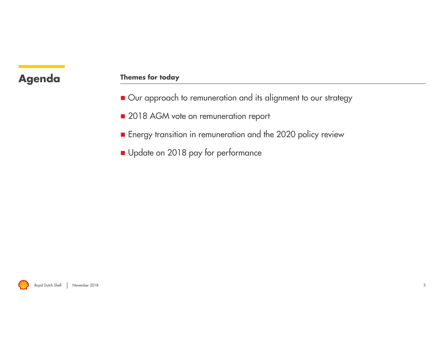## **Agenda**

### **Themes for today**

- **Our approach to remuneration and its alignment to our strategy**
- 2018 AGM vote on remuneration report
- **E** Energy transition in remuneration and the 2020 policy review
- Update on 2018 pay for performance

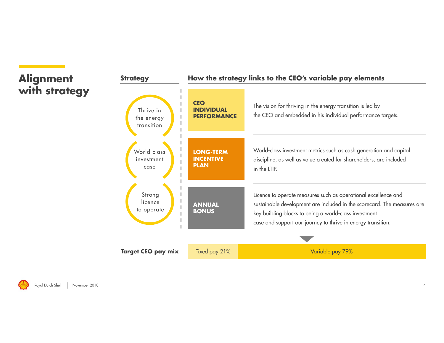

![](_page_3_Picture_1.jpeg)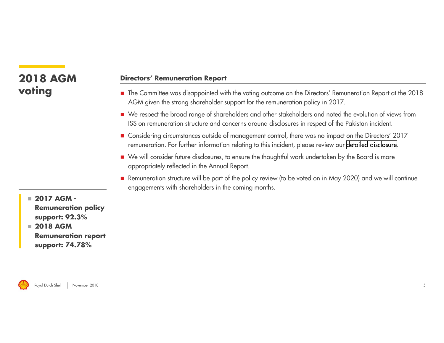## **2018 AGM voting**

#### **Directors' Remuneration Report**

- The Committee was disappointed with the voting outcome on the Directors' Remuneration Report at the 2018 AGM given the strong shareholder support for the remuneration policy in 2017.
- We respect the broad range of shareholders and other stakeholders and noted the evolution of views from ISS on remuneration structure and concerns around disclosures in respect of the Pakistan incident.
- Considering circumstances outside of management control, there was no impact on the Directors' 2017 remuneration. For further information relating to this incident, please review our [detailed disclosure](https://www.shell.com/investors/environmental-social-and-governance/corporate-governance-library/_jcr_content/par/expandablelist/expandablesection.stream/1525363312436/932d44f4a1810901895e44f9776a6a262ddd04584791241c27d03d2cc0de9210/rds-additional-information-directors-remuneration-report-2017.pdf).
- We will consider future disclosures, to ensure the thoughtful work undertaken by the Board is more appropriately reflected in the Annual Report.
- Remuneration structure will be part of the policy review (to be voted on in May 2020) and we will continue engagements with shareholders in the coming months.

 **2017 AGM - Remuneration policy support: 92.3% 2018 AGM Remuneration report support: 74.78%**

![](_page_4_Picture_8.jpeg)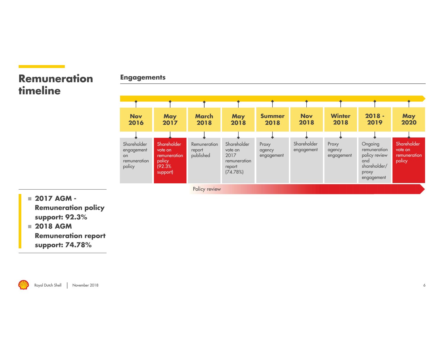## **Remuneration timeline**

#### **Engagements**

![](_page_5_Figure_2.jpeg)

 **2017 AGM - Remuneration policy support: 92.3% 2018 AGM Remuneration report support: 74.78%**

![](_page_5_Picture_4.jpeg)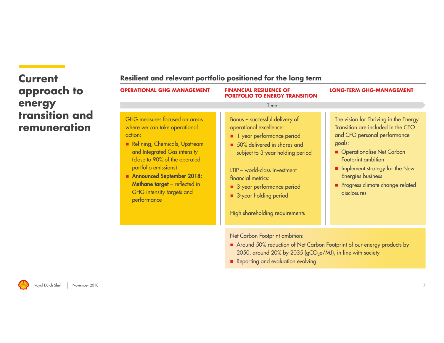## **Current approach to energy transition and remuneration**

| <b>OPERATIONAL GHG MANAGEMENT</b>                                                                                                                                                                                                                                                                                           | <b>FINANCIAL RESILIENCE OF</b><br><b>PORTFOLIO TO ENERGY TRANSITION</b>                                                                                                                                                                                                                                             | <b>LONG-TERM GHG-MANAGEMENT</b>                                                                                                                                                                                                                                                                     |  |  |  |  |
|-----------------------------------------------------------------------------------------------------------------------------------------------------------------------------------------------------------------------------------------------------------------------------------------------------------------------------|---------------------------------------------------------------------------------------------------------------------------------------------------------------------------------------------------------------------------------------------------------------------------------------------------------------------|-----------------------------------------------------------------------------------------------------------------------------------------------------------------------------------------------------------------------------------------------------------------------------------------------------|--|--|--|--|
| Time                                                                                                                                                                                                                                                                                                                        |                                                                                                                                                                                                                                                                                                                     |                                                                                                                                                                                                                                                                                                     |  |  |  |  |
| <b>GHG</b> measures focused on areas<br>where we can take operational<br>action:<br>Refining, Chemicals, Upstream<br>and Integrated Gas intensity<br>(close to 90% of the operated<br>portfolio emissions)<br>Announced September 2018:<br>Methane target - reflected in<br><b>GHG</b> intensity targets and<br>performance | Bonus - successful delivery of<br>operational excellence:<br><b>1</b> 1-year performance period<br>50% delivered in shares and<br>subject to 3-year holding period<br>$LTIP - world-class investment$<br>financial metrics:<br>3-year performance period<br>3-year holding period<br>High shareholding requirements | The vision for Thriving in the Energy<br>Transition are included in the CEO<br>and CFO personal performance<br>goals:<br>• Operationalise Net Carbon<br>Footprint ambition<br><b>n</b> Implement strategy for the New<br><b>Energies business</b><br>Progress climate change-related<br>disclosures |  |  |  |  |
|                                                                                                                                                                                                                                                                                                                             | Net Carbon Footprint ambition:<br>Around 50% reduction of Net Carbon Footprint of our energy products by<br>2050, around 20% by 2035 ( $gCO2e/MI$ ), in line with society<br>Reporting and evaluation evolving                                                                                                      |                                                                                                                                                                                                                                                                                                     |  |  |  |  |

**Resilient and relevant portfolio positioned for the long term**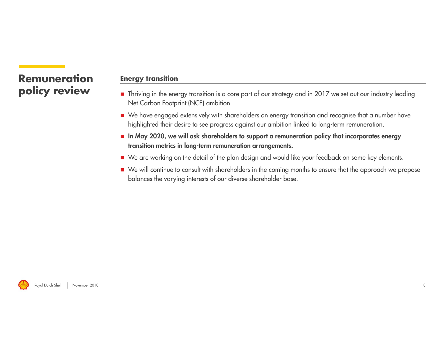# **Remuneration**

#### **Energy transition**

- **policy review EXECUPT IT The EXA ISLA** in the energy transition is a core part of our strategy and in 2017 we set out our industry leading Net Carbon Footprint (NCF) ambition.
	- $\blacksquare$  We have engaged extensively with shareholders on energy transition and recognise that a number have highlighted their desire to see progress against our ambition linked to long-term remuneration.
	- In May 2020, we will ask shareholders to support a remuneration policy that incorporates energy **transition metrics in long-term remuneration arrangements.**
	- We are working on the detail of the plan design and would like your feedback on some key elements.
	- $\blacksquare$  We will continue to consult with shareholders in the coming months to ensure that the approach we propose balances the varying interests of our diverse shareholder base.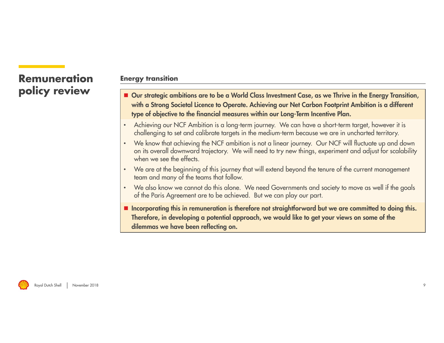## **Remuneration policy review**

#### **Energy transition**

- Our strategic ambitions are to be a World Class Investment Case, as we Thrive in the Energy Transition, **with a Strong Societal Licence to Operate. Achieving our Net Carbon Footprint Ambition is a different type of objective to the financial measures within our Long-Term Incentive Plan.**
- • Achieving our NCF Ambition is a long-term journey. We can have a short-term target, however it is challenging to set and calibrate targets in the medium-term because we are in uncharted territory.
- We know that achieving the NCF ambition is not a linear journey. Our NCF will fluctuate up and down on its overall downward trajectory. We will need to try new things, experiment and adjust for scalability when we see the effects.
- •We are at the beginning of this journey that will extend beyond the tenure of the current management team and many of the teams that follow.
- •We also know we cannot do this alone. We need Governments and society to move as well if the goals of the Paris Agreement are to be achieved. But we can play our part.
- **MENSION:** WE WE WE DESCRIPTING THE POSITION OF PLOTS. ■ Incorporating this in remuneration is therefore not straightforward but we are committed to doing this. **Therefore, in developing a potential approach, we would like to get your views on some of the**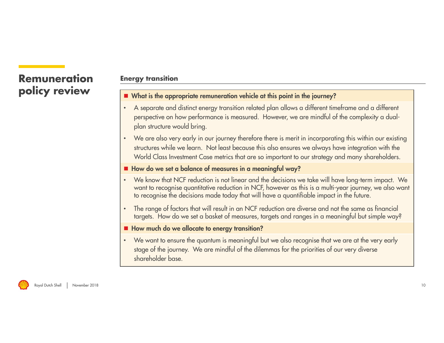## **Remuneration policy review**

#### **Energy transition**

- **What is the appropriate remuneration vehicle at this point in the journey?**
- • A separate and distinct energy transition related plan allows a different timeframe and a different perspective on how performance is measured. However, we are mindful of the complexity a dual<sup>p</sup>lan structure would bring.
- We are also very early in our journey therefore there is merit in incorporating this within our existing structures while we learn. Not least because this also ensures we always have integration with the World Class Investment Case metrics that are so important to our strategy and many shareholders.
- How do we set a balance of measures in a meaningful way?
- We know that NCF reduction is not linear and the decisions we take will have long-term impact. We want to recognise quantitative reduction in NCF, however as this is a multi-year journey, we also want to recognise the decisions made today that will have a quantifiable impact in the future.
- • The range of factors that will result in an NCF reduction are diverse and not the same as financial targets. How do we set a basket of measures, targets and ranges in a meaningful but simple way?
- **How much do we allocate to energy transition?**
- **We welcome your views on these dilemmas.** stage of the journey. We are mindful of the dilemmas for the priorities of our very diverse • We want to ensure the quantum is meaningful but we also recognise that we are at the very early shareholder base.

![](_page_9_Picture_10.jpeg)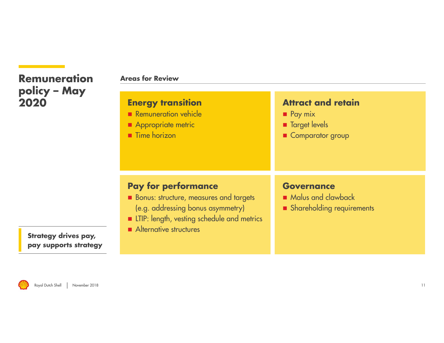## **Remuneration policy – May 2020**

#### **Areas for Review**

## **Energy transition**

- **Remuneration vehicle**
- **Appropriate metric**
- $\blacksquare$  Time horizon

### **Attract and retain**

- **Pay mix**
- **Target levels**
- **Comparator group**

## **Pay for performance**

- **Bonus: structure, measures and targets** (e.g. addressing bonus asymmetry)
- LTIP: length, vesting schedule and metrics
- Alternative structures

#### **Governance**

- Malus and clawback
- **Shareholding requirements**

**Strategy drives pay, pay supports strategy**

![](_page_10_Picture_18.jpeg)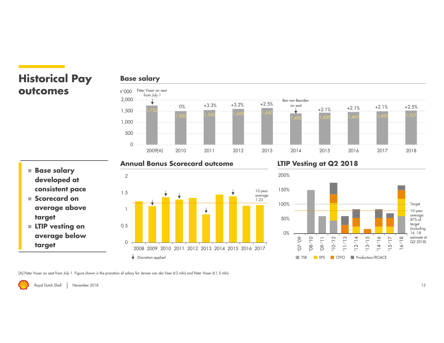## **Historical Pay outcomes**

#### **Base salary**

![](_page_11_Figure_2.jpeg)

#### **Base salary developed at consistent pace**

- **Scorecard on average above target**
- **LTIP vesting on average below target**

#### **Annual Bonus Scorecard outcome LTIP Vesting at Q2 2018**

![](_page_11_Figure_7.jpeg)

![](_page_11_Figure_9.jpeg)

[A] Peter Voser on seat from July 1. Figure shown is the proration of salary for Jeroen van der Veer (€2 mln) and Peter Voser (€1.5 mln)

![](_page_11_Picture_11.jpeg)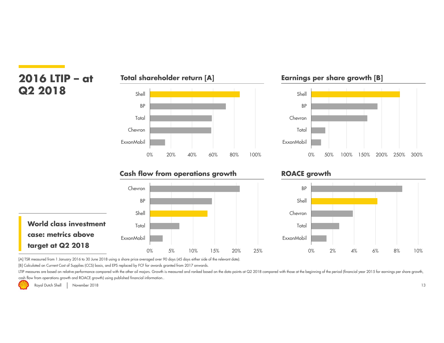![](_page_12_Figure_0.jpeg)

[A] TSR measured from 1 January 2016 to 30 June 2018 using a share price averaged over 90 days (45 days either side of the relevant date). [B] Calculated on Current Cost of Supplies (CCS) basis, and EPS replaced by FCF for awards granted from 2017 onwards.

LTIP measures are based on relative performance compared with the other oil majors. Growth is measured and ranked based on the data points at Q2 2018 compared with those at the beginning of the period (financial year 2015 cash flow from operations growth and ROACE growth) using published financial information..

Royal Dutch Shell | November 2018 | 13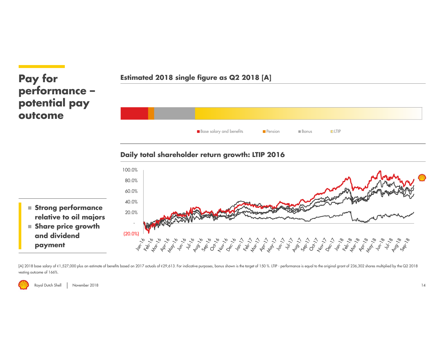![](_page_13_Figure_0.jpeg)

[A] 2018 base salary of £1,527,000 plus an estimate of benefits based on 2017 actuals of £29,613. For indicative purposes, bonus shown is the target of 150 %. LTIP - performance is equal to the original grant of 236,302 sh vesting outcome of 166%.

![](_page_13_Picture_2.jpeg)

Royal Dutch Shell | November 2018 | 14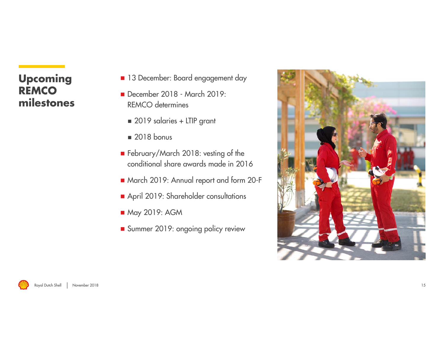## **Upcoming REMCO milestones**

- **13 December: Board engagement day**
- December 2018 March 2019: REMCO determines
	- 2019 salaries + LTIP grant
	- 2018 bonus
- **February/March 2018: vesting of the** conditional share awards made in 2016
- March 2019: Annual report and form 20-F
- April 2019: Shareholder consultations
- May 2019: AGM
- Summer 2019: ongoing policy review

![](_page_14_Picture_10.jpeg)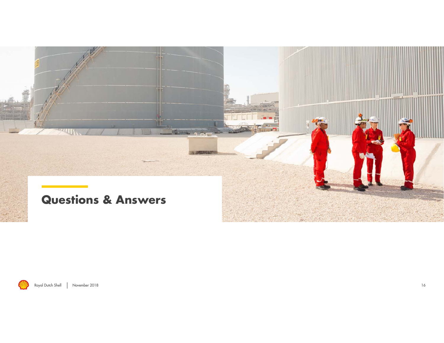![](_page_15_Picture_0.jpeg)

![](_page_15_Picture_1.jpeg)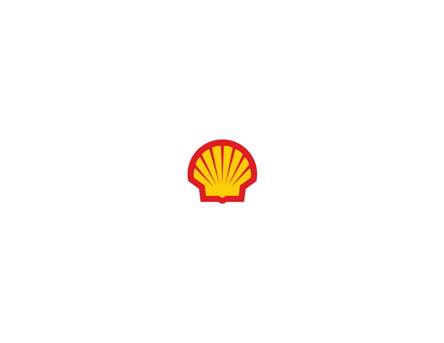![](_page_16_Picture_0.jpeg)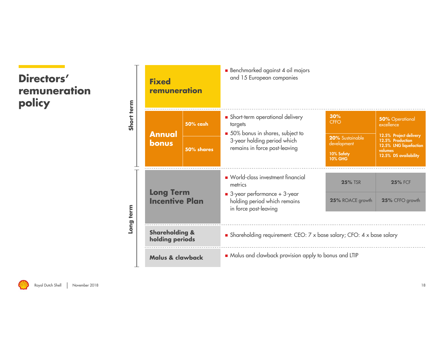## **Directors' remuneration policy**

![](_page_17_Figure_1.jpeg)

![](_page_17_Picture_2.jpeg)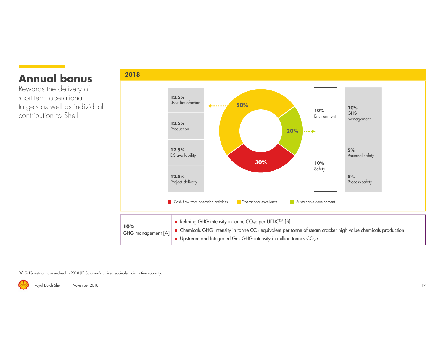## **Annual bonus**

Rewards the delivery of short-term operational targets as well as individual contribution to Shell

#### **2018**

![](_page_18_Figure_3.jpeg)

[A] GHG metrics have evolved in 2018 [B] Solomon's utilised equivalent distillation capacity.

![](_page_18_Picture_5.jpeg)

Royal Dutch Shell | November 2018 19 | 1990 1991 1992 1993 1994 1995 1996 1997 1997 1998 1999 1998 1999 1999 1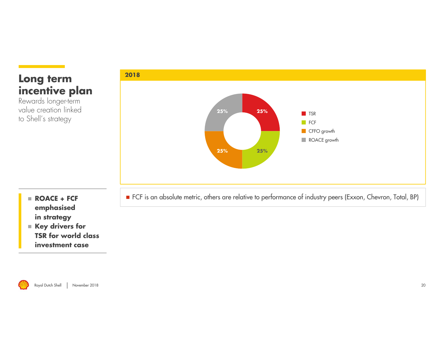![](_page_19_Figure_0.jpeg)

**emphasised in strategy** ■ Key drivers for **TSR for world class investment case**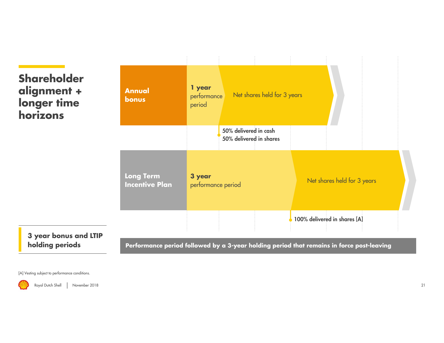![](_page_20_Figure_0.jpeg)

[A] Vesting subject to performance conditions.

![](_page_20_Picture_2.jpeg)

Royal Dutch Shell November 2018 21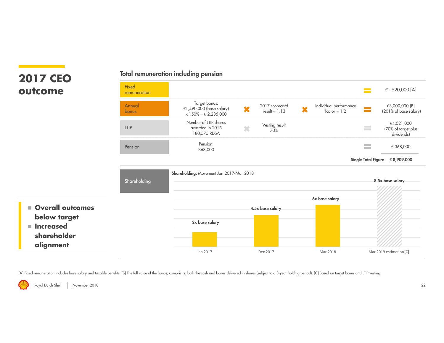![](_page_21_Figure_0.jpeg)

**Total remuneration including pension**

[A] Fixed remuneration includes base salary and taxable benefits. [B] The full value of the bonus, comprising both the cash and bonus delivered in shares (subject to a 3-year holding period). [C] Based on target bonus and

![](_page_21_Picture_3.jpeg)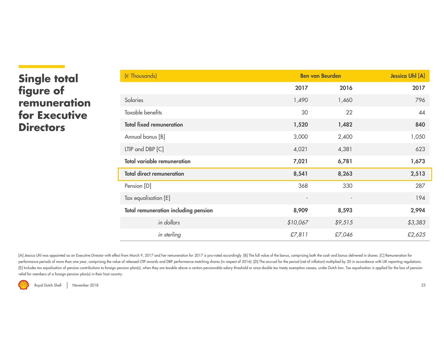## **Single total figure of remuneration for Executive Directors**

| $(E$ Thousands)                             | <b>Ben van Beurden</b>   |         | <b>Jessica Uhl [A]</b> |
|---------------------------------------------|--------------------------|---------|------------------------|
|                                             | 2017                     | 2016    | 2017                   |
| Salaries                                    | 1,490                    | 1,460   | 796                    |
| <b>Taxable benefits</b>                     | 30                       | 22      | 44                     |
| <b>Total fixed remuneration</b>             | 1,520                    | 1,482   | 840                    |
| Annual bonus [B]                            | 3,000                    | 2,400   | 1,050                  |
| LTIP and DBP [C]                            | 4,021                    | 4,381   | 623                    |
| <b>Total variable remuneration</b>          | 7,021                    | 6,781   | 1,673                  |
| <b>Total direct remuneration</b>            | 8,541                    | 8,263   | 2,513                  |
| Pension [D]                                 | 368                      | 330     | 287                    |
| Tax equalisation [E]                        | $\overline{\phantom{a}}$ |         | 194                    |
| <b>Total remuneration including pension</b> | 8,909                    | 8,593   | 2,994                  |
| in dollars                                  | \$10,067                 | \$9,515 | \$3,383                |
| in sterling                                 | £7,811                   | £7,046  | £2,625                 |

[A] Jessica Uhl was appointed as an Executive Director with effect from March 9, 2017 and her remuneration for 2017 is pro-rated accordingly. [B] The full value of the bonus, comprising both the cash and bonus delivered in performance periods of more than one year, comprising the value of released LTIP awards and DBP performance matching shares (in respect of 2016). [D] The accrual for the period (net of inflation) multiplied by 20 in accord [E] Includes tax equalisation of pension contributions to foreign pension plan(s), when they are taxable above a certain pensionable salary threshold or once double tax treaty exemption ceases, under Dutch law. Tax equalis relief for members of a foreign pension plan(s) in their host country.

![](_page_22_Picture_3.jpeg)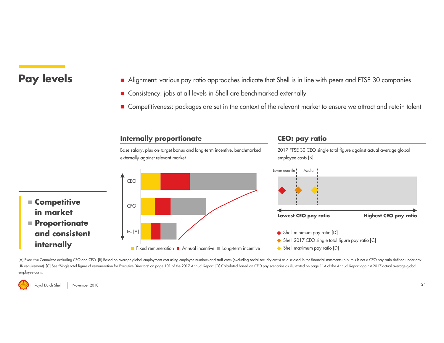## **Pay levels**

- Alignment: various pay ratio approaches indicate that Shell is in line with peers and FTSE 30 companies
- Consistency: jobs at all levels in Shell are benchmarked externally
- Competitiveness: packages are set in the context of the relevant market to ensure we attract and retain talent

![](_page_23_Figure_4.jpeg)

[A] Executive Committee excluding CEO and CFO. [B] Based on average global employment cost using employee numbers and staff costs (excluding social security costs) as disclosed in the financial statements (n.b. this is not UK requirement). [C] See "Single total figure of remuneration for Executive Directors' on page 101 of the 2017 Annual Report. [D] Calculated based on CEO pay scenarios as illustrated on page 114 of the Annual Report agains employee costs.

![](_page_23_Picture_6.jpeg)

Royal Dutch Shell November 2018